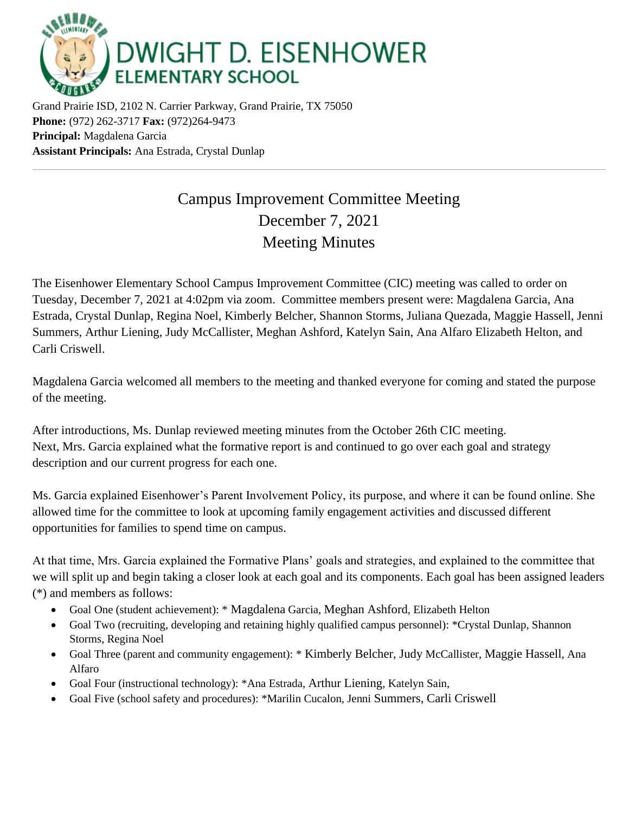

Grand Prairie ISD, 2102 N. Carrier Parkway, Grand Prairie, TX 75050 **Phone:** (972) 262-3717 **Fax:** (972)264-9473 **Principal:** Magdalena Garcia **Assistant Principals:** Ana Estrada, Crystal Dunlap

## Campus Improvement Committee Meeting December 7, 2021 Meeting Minutes

The Eisenhower Elementary School Campus Improvement Committee (CIC) meeting was called to order on Tuesday, December 7, 2021 at 4:02pm via zoom. Committee members present were: Magdalena Garcia, Ana Estrada, Crystal Dunlap, Regina Noel, Kimberly Belcher, Shannon Storms, Juliana Quezada, Maggie Hassell, Jenni Summers, Arthur Liening, Judy McCallister, Meghan Ashford, Katelyn Sain, Ana Alfaro Elizabeth Helton, and Carli Criswell.

Magdalena Garcia welcomed all members to the meeting and thanked everyone for coming and stated the purpose of the meeting.

After introductions, Ms. Dunlap reviewed meeting minutes from the October 26th CIC meeting. Next, Mrs. Garcia explained what the formative report is and continued to go over each goal and strategy description and our current progress for each one.

Ms. Garcia explained Eisenhower's Parent Involvement Policy, its purpose, and where it can be found online. She allowed time for the committee to look at upcoming family engagement activities and discussed different opportunities for families to spend time on campus.

At that time, Mrs. Garcia explained the Formative Plans' goals and strategies, and explained to the committee that we will split up and begin taking a closer look at each goal and its components. Each goal has been assigned leaders (\*) and members as follows:

- Goal One (student achievement): \* Magdalena Garcia, Meghan Ashford, Elizabeth Helton
- Goal Two (recruiting, developing and retaining highly qualified campus personnel): \*Crystal Dunlap, Shannon Storms, Regina Noel
- Goal Three (parent and community engagement): \* Kimberly Belcher, Judy McCallister, Maggie Hassell, Ana Alfaro
- Goal Four (instructional technology): \*Ana Estrada, Arthur Liening, Katelyn Sain,
- Goal Five (school safety and procedures): \*Marilin Cucalon, Jenni Summers, Carli Criswell